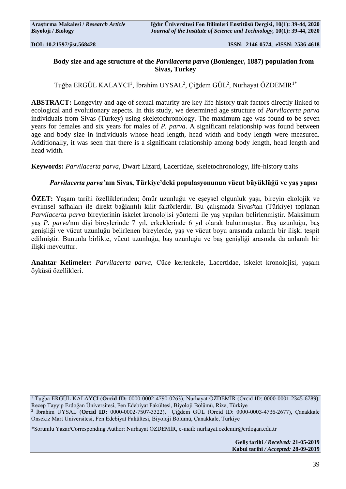# **Body size and age structure of the** *Parvilacerta parva* **(Boulenger, 1887) population from Sivas, Turkey**

Tuğba ERGÜL KALAYCI<sup>1</sup>, İbrahim UYSAL<sup>2</sup>, Çiğdem GÜL<sup>2</sup>, Nurhayat ÖZDEMIR<sup>1\*</sup>

**ABSTRACT:** Longevity and age of sexual maturity are key life history trait factors directly linked to ecological and evolutionary aspects. In this study, we determined age structure of *Parvilacerta parva* individuals from Sivas (Turkey) using skeletochronology. The maximum age was found to be seven years for females and six years for males of *P. parva*. A significant relationship was found between age and body size in individuals whose head length, head width and body length were measured. Additionally, it was seen that there is a significant relationship among body length, head length and head width.

**Keywords:** *Parvilacerta parva*, Dwarf Lizard, Lacertidae, skeletochronology, life-history traits

# *Parvilacerta parva'***nın Sivas, Türkiye'deki populasyonunun vücut büyüklüğü ve yaş yapısı**

**ÖZET:** Yaşam tarihi özelliklerinden; ömür uzunluğu ve eşeysel olgunluk yaşı, bireyin ekolojik ve evrimsel safhaları ile direkt bağlantılı kilit faktörlerdir. Bu çalışmada Sivas'tan (Türkiye) toplanan *Parvilacerta parva* bireylerinin iskelet kronolojisi yöntemi ile yaş yapıları belirlenmiştir. Maksimum yaş *P. parva*'nın dişi bireylerinde 7 yıl, erkeklerinde 6 yıl olarak bulunmuştur. Baş uzunluğu, baş genişliği ve vücut uzunluğu belirlenen bireylerde, yaş ve vücut boyu arasında anlamlı bir ilişki tespit edilmiştir. Bununla birlikte, vücut uzunluğu, baş uzunluğu ve baş genişliği arasında da anlamlı bir ilişki mevcuttur.

**Anahtar Kelimeler:** *Parvilacerta parva*, Cüce kertenkele, Lacertidae, iskelet kronolojisi, yaşam öyküsü özellikleri.

<sup>1</sup> Tuğba ERGÜL KALAYCI (**Orcid ID:** 0000-0002-4790-0263), Nurhayat ÖZDEMİR (Orcid ID: 0000-0001-2345-6789), Recep Tayyip Erdoğan Üniversitesi, Fen Edebiyat Fakültesi, Biyoloji Bölümü, Rize, Türkiye

2 İbrahim UYSAL (**Orcid ID:** 0000-0002-7507-3322), Çiğdem GÜL (Orcid ID: 0000-0003-4736-2677), Çanakkale Onsekiz Mart Üniversitesi, Fen Edebiyat Fakültesi, Biyoloji Bölümü, Çanakkale, Türkiye

\*Sorumlu Yazar/Corresponding Author: Nurhayat ÖZDEMİR, e-mail: nurhayat.ozdemir@erdogan.edu.tr

**Geliş tarihi** */ Received:* **21-05-2019 Kabul tarihi** */ Accepted:* **28-09-2019**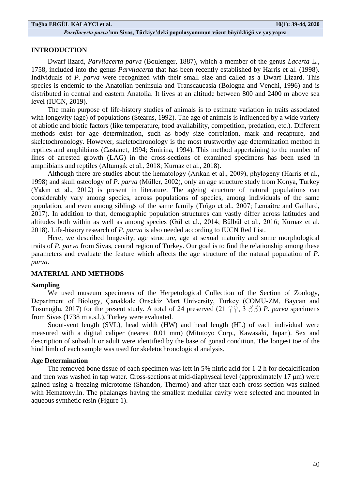### **INTRODUCTION**

Dwarf lizard, *Parvilacerta parva* (Boulenger, 1887), which a member of the genus *Lacerta* L., 1758*,* included into the genus *Parvilacerta* that has been recently established by Harris et al. (1998). Individuals of *P. parva* were recognized with their small size and called as a Dwarf Lizard. This species is endemic to the Anatolian peninsula and Transcaucasia (Bologna and Venchi, 1996) and is distributed in central and eastern Anatolia. It lives at an altitude between 800 and 2400 m above sea level (IUCN, 2019).

The main purpose of life-history studies of animals is to estimate variation in traits associated with longevity (age) of populations (Stearns, 1992). The age of animals is influenced by a wide variety of abiotic and biotic factors (like temperature, food availability, competition, predation, etc.). Different methods exist for age determination, such as body size correlation, mark and recapture, and skeletochronology. However, skeletochronology is the most trustworthy age determination method in reptiles and amphibians (Castanet, 1994; Smirina, 1994). This method appertaining to the number of lines of arrested growth (LAG) in the cross-sections of examined specimens has been used in amphibians and reptiles (Altunışık et al., 2018; Kurnaz et al., 2018).

Although there are studies about the hematology (Arıkan et al., 2009), phylogeny (Harris et al., 1998) and skull osteology of *P. parva* (Müller, 2002), only an age structure study from Konya, Turkey (Yakın et al., 2012) is present in literature. The ageing structure of natural populations can considerably vary among species, across populations of species, among individuals of the same population, and even among siblings of the same family (Toïgo et al., 2007; Lemaître and Gaillard, 2017). In addition to that, demographic population structures can vastly differ across latitudes and altitudes both within as well as among species (Gül et al., 2014; Bülbül et al., 2016; Kurnaz et al. 2018). Life-history research of *P. parva* is also needed according to IUCN Red List.

Here, we described longevity, age structure, age at sexual maturity and some morphological traits of *P. parva* from Sivas, central region of Turkey. Our goal is to find the relationship among these parameters and evaluate the feature which affects the age structure of the natural population of *P. parva*.

## **MATERIAL AND METHODS**

#### **Sampling**

We used museum specimens of the Herpetological Collection of the Section of Zoology, Department of Biology, Çanakkale Onsekiz Mart University, Turkey (COMU-ZM, Baycan and Tosunoğlu, 2017) for the present study. A total of 24 preserved (21  $\mathcal{Q} \mathcal{Q}$ , 3  $\mathcal{Z} \mathcal{Z}$ ) *P. parva* specimens from Sivas (1738 m a.s.l.), Turkey were evaluated.

Snout-vent length (SVL), head width (HW) and head length (HL) of each individual were measured with a digital caliper (nearest 0.01 mm) (Mitutoyo Corp., Kawasaki, Japan). Sex and description of subadult or adult were identified by the base of gonad condition. The longest toe of the hind limb of each sample was used for skeletochronological analysis.

### **Age Determination**

The removed bone tissue of each specimen was left in 5% nitric acid for 1-2 h for decalcification and then was washed in tap water. Cross-sections at mid-diaphyseal level (approximately 17 μm) were gained using a freezing microtome (Shandon, Thermo) and after that each cross-section was stained with Hematoxylin. The phalanges having the smallest medullar cavity were selected and mounted in aqueous synthetic resin (Figure 1).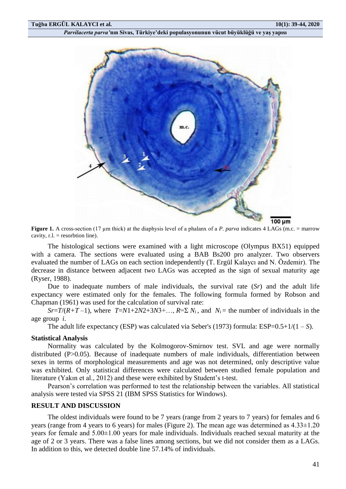

**Figure 1.** A cross-section (17  $\mu$ m thick) at the diaphysis level of a phalanx of a *P. parva* indicates 4 LAGs (m.c. = marrow cavity,  $r.l. =$  resorbtion line).

The histological sections were examined with a light microscope (Olympus BX51) equipped with a camera. The sections were evaluated using a BAB Bs200 pro analyzer. Two observers evaluated the number of LAGs on each section independently (T. Ergül Kalaycı and N. Özdemir). The decrease in distance between adjacent two LAGs was accepted as the sign of sexual maturity age (Ryser, 1988).

Due to inadequate numbers of male individuals, the survival rate (*Sr*) and the adult life expectancy were estimated only for the females. The following formula formed by Robson and Chapman (1961) was used for the calculation of survival rate:

*Sr*=*T*/( $R+T-1$ ), where  $T=N1+2N2+3N3+...$ ,  $R=\sum N_i$ , and  $N_i$  = the number of individuals in the age group *i*.

The adult life expectancy (ESP) was calculated via Seber's (1973) formula: ESP=0.5+1/(1 – *S*).

#### **Statistical Analysis**

Normality was calculated by the Kolmogorov-Smirnov test. SVL and age were normally distributed (P>0.05). Because of inadequate numbers of male individuals, differentiation between sexes in terms of morphological measurements and age was not determined, only descriptive value was exhibited. Only statistical differences were calculated between studied female population and literature (Yakın et al., 2012) and these were exhibited by Student's t-test.

Pearson's correlation was performed to test the relationship between the variables. All statistical analysis were tested via SPSS 21 (IBM SPSS Statistics for Windows).

#### **RESULT AND DISCUSSION**

The oldest individuals were found to be 7 years (range from 2 years to 7 years) for females and 6 years (range from 4 years to 6 years) for males (Figure 2). The mean age was determined as 4.33±1.20 years for female and 5.00±1.00 years for male individuals. Individuals reached sexual maturity at the age of 2 or 3 years. There was a false lines among sections, but we did not consider them as a LAGs. In addition to this, we detected double line 57.14% of individuals.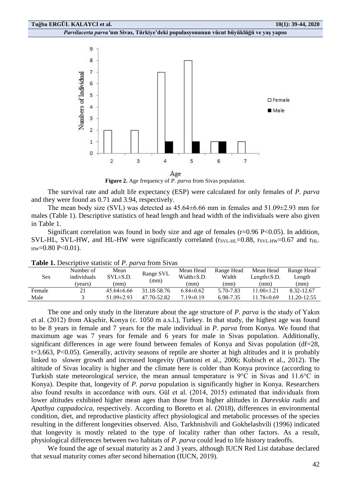

**Figure 2.** Age frequency of *P. parva* from Sivas population.

The survival rate and adult life expectancy (ESP) were calculated for only females of *P. parva* and they were found as 0.71 and 3.94, respectively.

The mean body size (SVL) was detected as  $45.64\pm6.66$  mm in females and  $51.09\pm2.93$  mm for males (Table 1). Descriptive statistics of head length and head width of the individuals were also given in Table 1.

Significant correlation was found in body size and age of females ( $r=0.96$  P $<0.05$ ). In addition, SVL-HL, SVL-HW, and HL-HW were significantly correlated ( $r_{SVL-HL}=0.88$ ,  $r_{SVL-HW}=0.67$  and  $r_{HL}$  $HW=0.80$  P<0.01).

| <b>TUDIC 1:</b> DOSCHBUYO SURBUO OI 1 . <i>BUI V</i> U HOIH DIYUS |             |                  |                   |                  |            |                   |             |
|-------------------------------------------------------------------|-------------|------------------|-------------------|------------------|------------|-------------------|-------------|
| Sex                                                               | Number of   | Mean             | Range SVL<br>(mm) | Mean Head        | Range Head | Mean Head         | Range Head  |
|                                                                   | individuals | $SVL \pm S.D.$   |                   | Width $\pm$ S.D. | Width      | Length $\pm$ S.D. | Length      |
|                                                                   | (years)     | (mm)             |                   | (mm)             | (mm)       | (mm)              | (mm)        |
| Female                                                            |             | $45.64\pm 6.66$  | 31.18-58.76       | $6.84\pm0.62$    | 5.70-7.83  | $11.00\pm1.21$    | 8.32-12.67  |
| Male                                                              |             | $51.09 \pm 2.93$ | 47.70-52.82       | $7.19 \pm 0.19$  | 6.98-7.35  | $11.78 \pm 0.69$  | 11.20-12.55 |
|                                                                   |             |                  |                   |                  |            |                   |             |

**Table 1.** Descriptive statistic of *P. parva* from Sivas

The one and only study in the literature about the age structure of *P. parva* is the study of Yakın et al. (2012) from Akşehir, Konya (c. 1050 m a.s.l.), Turkey. In that study, the highest age was found to be 8 years in female and 7 years for the male individual in *P. parva* from Konya. We found that maximum age was 7 years for female and 6 years for male in Sivas population. Additionally, significant differences in age were found between females of Konya and Sivas population (df=28, t=3.663, P<0.05). Generally, activity seasons of reptile are shorter at high altitudes and it is probably linked to slower growth and increased longevity (Piantoni et al., 2006; Kubisch et al., 2012). The altitude of Sivas locality is higher and the climate here is colder than Konya province (according to Turkish state meteorological service, the mean annual temperature is 9°C in Sivas and 11.6°C in Konya). Despite that, longevity of *P. parva* population is significantly higher in Konya. Researchers also found results in accordance with ours. Gül et al. (2014, 2015) estimated that individuals from lower altitudes exhibited higher mean ages than those from higher altitudes in *Darevskia rudis* and *Apathya cappadocica*, respectively. According to Boretto et al. (2018), differences in environmental condition, diet, and reproductive plasticity affect physiological and metabolic processes of the species resulting in the different longevities observed. Also, Tarkhnishvili and Gokhelashvili (1996) indicated that longevity is mostly related to the type of locality rather than other factors. As a result, physiological differences between two habitats of *P. parva* could lead to life history tradeoffs.

We found the age of sexual maturity as 2 and 3 years, although IUCN Red List database declared that sexual maturity comes after second hibernation (IUCN, 2019).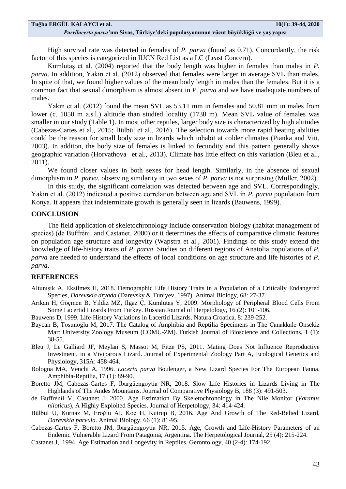High survival rate was detected in females of *P. parva* (found as 0.71). Concordantly, the risk factor of this species is categorized in IUCN Red List as a LC (Least Concern).

Kumlutaş et al. (2004) reported that the body length was higher in females than males in *P. parva*. In addition, Yakın et al. (2012) observed that females were larger in average SVL than males. In spite of that, we found higher values of the mean body length in males than the females. But it is a common fact that sexual dimorphism is almost absent in *P. parva* and we have inadequate numbers of males.

Yakın et al. (2012) found the mean SVL as 53.11 mm in females and 50.81 mm in males from lower (c. 1050 m a.s.l.) altitude than studied locality (1738 m). Mean SVL value of females was smaller in our study (Table 1). In most other reptiles, larger body size is characterized by high altitudes (Cabezas-Cartes et al., 2015; Bülbül et al., 2016). The selection towards more rapid heating abilities could be the reason for small body size in lizards which inhabit at colder climates (Pianka and Vitt, 2003). In additon, the body size of females is linked to fecundity and this pattern generally shows geographic variation (Horvathova et al., 2013). Climate has little effect on this variation (Bleu et al., 2011).

We found closer values in both sexes for head length. Similarly, in the absence of sexual dimorphism in *P. parva*, observing similarity in two sexes of *P. parva* is not surprising (Müller, 2002).

In this study, the significant correlation was detected between age and SVL. Correspondingly, Yakın et al. (2012) indicated a positive correlation between age and SVL in *P. parva* population from Konya. It appears that indeterminate growth is generally seen in lizards (Bauwens, 1999).

## **CONCLUSION**

The field application of skeletochronology include conservation biology (habitat management of species) (de Buffrénil and Castanet, 2000) or it determines the effects of comparative climatic features on population age structure and longevity (Wapstra et al., 2001). Findings of this study extend the knowledge of life-history traits of *P. parva*. Studies on different regions of Anatolia populations of *P. parva* are needed to understand the effects of local conditions on age structure and life histories of *P. parva*.

## **REFERENCES**

- Altunişik A, Eksilmez H, 2018. Demographic Life History Traits in a Population of a Critically Endangered Species, *Darevskia dryada* (Darevsky & Tuniyev, 1997). Animal Biology, 68: 27-37.
- Arıkan H, Göçmen B, Yildiz MZ, Ilgaz Ç, Kumlutaş Y, 2009. Morphology of Peripheral Blood Cells From Some Lacertid Lizards From Turkey. Russian Journal of Herpetology, 16 (2): 101-106.
- Bauwens D, 1999. Life-History Variations in Lacertid Lizards. Natura Croatica, 8: 239-252.
- Baycan B, Tosunoğlu M, 2017. The Catalog of Amphibia and Reptilia Specimens in The Çanakkale Onsekiz Mart University Zoology Museum (COMU-ZM). Turkish Journal of Bioscience and Collections, 1 (1): 38-55.
- Bleu J, Le Galliard JF, Meylan S, Massot M, Fitze PS, 2011. Mating Does Not Influence Reproductive Investment, in a Viviparous Lizard. Journal of Experimental Zoology Part A, Ecological Genetics and Physiology, 315A: 458-464.
- Bologna MA, Venchi A, 1996. *Lacerta parva* Boulenger, a New Lizard Species For The European Fauna. Amphibia-Reptilia, 17 (1): 89-90.
- Boretto JM, Cabezas-Cartes F, Ibargüengoytía NR, 2018. Slow Life Histories in Lizards Living in The Highlands of The Andes Mountains. Journal of Comparative Physiology B, 188 (3): 491-503.
- de Buffrénil V, Castanet J, 2000. Age Estimation By Skeletochronology in The Nile Monitor (*Varanus niloticus*), A Highly Exploited Species. Journal of Herpetology, 34: 414-424.
- Bülbül U, Kurnaz M, Eroğlu Aİ, Koç H, Kutrup B, 2016. Age And Growth of The Red-Belied Lizard, *Darevskia parvula*. Animal Biology, 66 (1): 81-95.
- Cabezas-Cartes F, Boretto JM, Ibargüengoytía NR, 2015. Age, Growth and Life-History Parameters of an Endemic Vulnerable Lizard From Patagonia, Argentina. The Herpetological Journal, 25 (4): 215-224.
- Castanet J, 1994. Age Estimation and Longevity in Reptiles. Gerontology, 40 (2-4): 174-192.